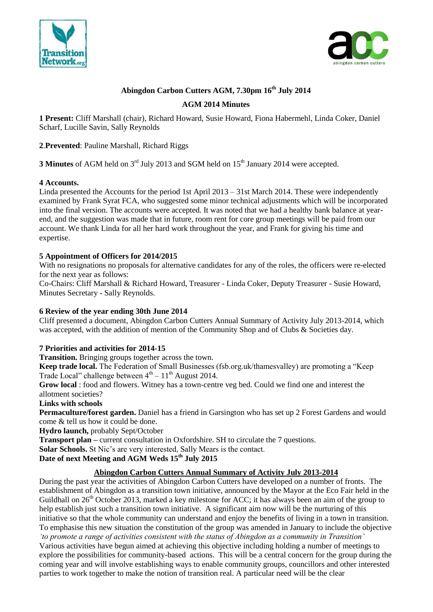



# **Abingdon Carbon Cutters AGM, 7.30pm 16th July 2014**

### **AGM 2014 Minutes**

**1 Present:** Cliff Marshall (chair), Richard Howard, Susie Howard, Fiona Habermehl, Linda Coker, Daniel Scharf, Lucille Savin, Sally Reynolds

### **2**.**Prevented**: Pauline Marshall, Richard Riggs

**3 Minutes** of AGM held on 3<sup>rd</sup> July 2013 and SGM held on 15<sup>th</sup> January 2014 were accepted.

#### **4 Accounts.**

Linda presented the Accounts for the period 1st April 2013 – 31st March 2014. These were independently examined by Frank Syrat FCA, who suggested some minor technical adjustments which will be incorporated into the final version. The accounts were accepted. It was noted that we had a healthy bank balance at yearend, and the suggestion was made that in future, room rent for core group meetings will be paid from our account. We thank Linda for all her hard work throughout the year, and Frank for giving his time and expertise.

### **5 Appointment of Officers for 2014/2015**

With no resignations no proposals for alternative candidates for any of the roles, the officers were re-elected for the next year as follows:

Co-Chairs: Cliff Marshall & Richard Howard, Treasurer - Linda Coker, Deputy Treasurer - Susie Howard, Minutes Secretary - Sally Reynolds.

#### **6 Review of the year ending 30th June 2014**

Cliff presented a document, Abingdon Carbon Cutters Annual Summary of Activity July 2013-2014, which was accepted, with the addition of mention of the Community Shop and of Clubs & Societies day.

#### **7 Priorities and activities for 2014-15**

**Transition.** Bringing groups together across the town.

**Keep trade local.** The Federation of Small Businesses (fsb.org.uk/thamesvalley) are promoting a "Keep Trade Local" challenge between  $4<sup>th</sup> - 11<sup>th</sup>$  August 2014.

**Grow local** : food and flowers. Witney has a town-centre veg bed. Could we find one and interest the allotment societies?

#### **Links with schools**

**Permaculture/forest garden.** Daniel has a friend in Garsington who has set up 2 Forest Gardens and would come & tell us how it could be done.

**Hydro launch,** probably Sept/October

**Transport plan** – current consultation in Oxfordshire. SH to circulate the 7 questions.

**Solar Schools.** St Nic's are very interested, Sally Mears is the contact.

## **Date of next Meeting and AGM Weds 15th July 2015**

### **Abingdon Carbon Cutters Annual Summary of Activity July 2013-2014**

During the past year the activities of Abingdon Carbon Cutters have developed on a number of fronts. The establishment of Abingdon as a transition town initiative, announced by the Mayor at the Eco Fair held in the Guildhall on  $26<sup>th</sup>$  October 2013, marked a key milestone for ACC; it has always been an aim of the group to help establish just such a transition town initiative. A significant aim now will be the nurturing of this initiative so that the whole community can understand and enjoy the benefits of living in a town in transition. To emphasise this new situation the constitution of the group was amended in January to include the objective *'to promote a range of activities consistent with the status of Abingdon as a community in Transition'*  Various activities have begun aimed at achieving this objective including holding a number of meetings to explore the possibilities for community-based actions. This will be a central concern for the group during the coming year and will involve establishing ways to enable community groups, councillors and other interested parties to work together to make the notion of transition real. A particular need will be the clear